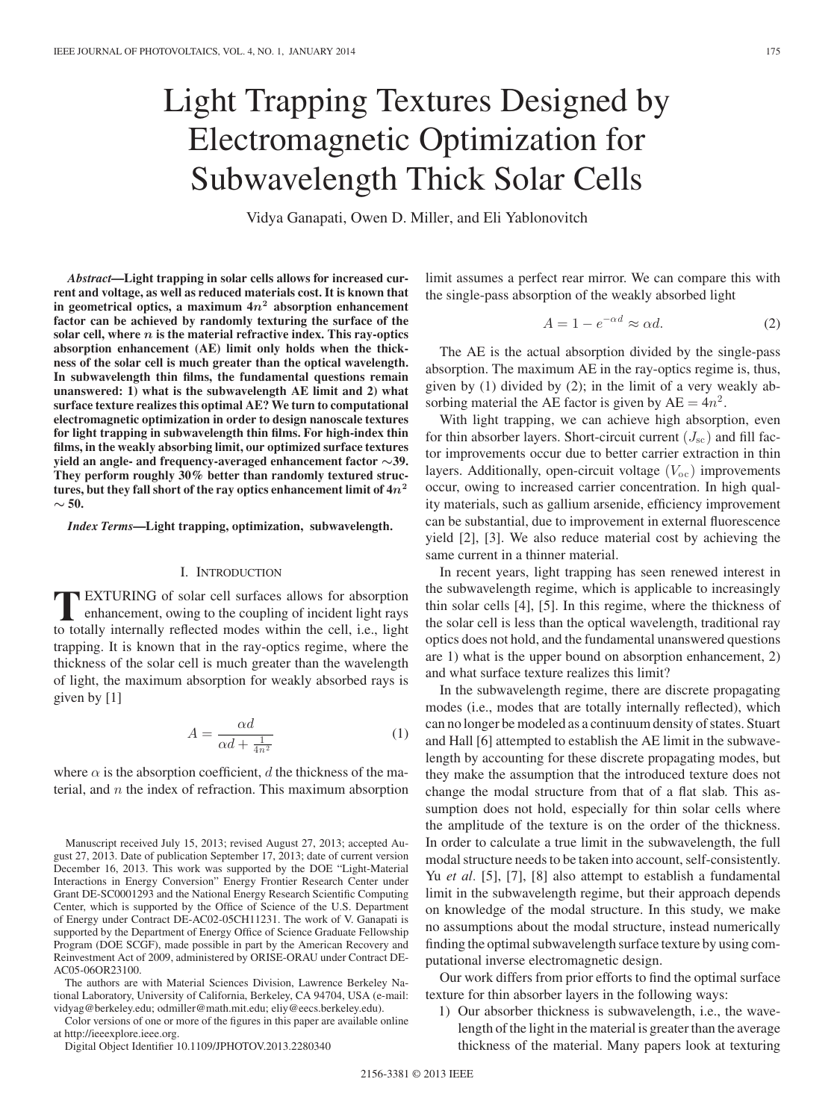# Light Trapping Textures Designed by Electromagnetic Optimization for Subwavelength Thick Solar Cells

Vidya Ganapati, Owen D. Miller, and Eli Yablonovitch

*Abstract***—Light trapping in solar cells allows for increased current and voltage, as well as reduced materials cost. It is known that in geometrical optics, a maximum 4***n***<sup>2</sup> absorption enhancement factor can be achieved by randomly texturing the surface of the solar cell, where** *n* **is the material refractive index. This ray-optics absorption enhancement (AE) limit only holds when the thickness of the solar cell is much greater than the optical wavelength. In subwavelength thin films, the fundamental questions remain unanswered: 1) what is the subwavelength AE limit and 2) what surface texture realizes this optimal AE? We turn to computational electromagnetic optimization in order to design nanoscale textures for light trapping in subwavelength thin films. For high-index thin films, in the weakly absorbing limit, our optimized surface textures yield an angle- and frequency-averaged enhancement factor** *∼***39. They perform roughly 30% better than randomly textured structures, but they fall short of the ray optics enhancement limit of 4***n***<sup>2</sup>** *∼* **50.**

*Index Terms***—Light trapping, optimization, subwavelength.**

#### I. INTRODUCTION

**T**EXTURING of solar cell surfaces allows for absorption enhancement, owing to the coupling of incident light rays to totally internally reflected modes within the cell i.e. light to totally internally reflected modes within the cell, i.e., light trapping. It is known that in the ray-optics regime, where the thickness of the solar cell is much greater than the wavelength of light, the maximum absorption for weakly absorbed rays is given by [1]

$$
A = \frac{\alpha d}{\alpha d + \frac{1}{4n^2}}\tag{1}
$$

where  $\alpha$  is the absorption coefficient, d the thickness of the material, and  $n$  the index of refraction. This maximum absorption

The authors are with Material Sciences Division, Lawrence Berkeley National Laboratory, University of California, Berkeley, CA 94704, USA (e-mail: vidyag@berkeley.edu; odmiller@math.mit.edu; eliy@eecs.berkeley.edu).

Color versions of one or more of the figures in this paper are available online at http://ieeexplore.ieee.org.

Digital Object Identifier 10.1109/JPHOTOV.2013.2280340

limit assumes a perfect rear mirror. We can compare this with the single-pass absorption of the weakly absorbed light

$$
A = 1 - e^{-\alpha d} \approx \alpha d. \tag{2}
$$

The AE is the actual absorption divided by the single-pass absorption. The maximum AE in the ray-optics regime is, thus, given by (1) divided by (2); in the limit of a very weakly absorbing material the AE factor is given by  $AE = 4n^2$ .

With light trapping, we can achieve high absorption, even for thin absorber layers. Short-circuit current  $(J_{\rm sc})$  and fill factor improvements occur due to better carrier extraction in thin layers. Additionally, open-circuit voltage  $(V<sub>oc</sub>)$  improvements occur, owing to increased carrier concentration. In high quality materials, such as gallium arsenide, efficiency improvement can be substantial, due to improvement in external fluorescence yield [2], [3]. We also reduce material cost by achieving the same current in a thinner material.

In recent years, light trapping has seen renewed interest in the subwavelength regime, which is applicable to increasingly thin solar cells [4], [5]. In this regime, where the thickness of the solar cell is less than the optical wavelength, traditional ray optics does not hold, and the fundamental unanswered questions are 1) what is the upper bound on absorption enhancement, 2) and what surface texture realizes this limit?

In the subwavelength regime, there are discrete propagating modes (i.e., modes that are totally internally reflected), which can no longer be modeled as a continuum density of states. Stuart and Hall [6] attempted to establish the AE limit in the subwavelength by accounting for these discrete propagating modes, but they make the assumption that the introduced texture does not change the modal structure from that of a flat slab. This assumption does not hold, especially for thin solar cells where the amplitude of the texture is on the order of the thickness. In order to calculate a true limit in the subwavelength, the full modal structure needs to be taken into account, self-consistently. Yu *et al.* [5], [7], [8] also attempt to establish a fundamental limit in the subwavelength regime, but their approach depends on knowledge of the modal structure. In this study, we make no assumptions about the modal structure, instead numerically finding the optimal subwavelength surface texture by using computational inverse electromagnetic design.

Our work differs from prior efforts to find the optimal surface texture for thin absorber layers in the following ways:

1) Our absorber thickness is subwavelength, i.e., the wavelength of the light in the material is greater than the average thickness of the material. Many papers look at texturing

Manuscript received July 15, 2013; revised August 27, 2013; accepted August 27, 2013. Date of publication September 17, 2013; date of current version December 16, 2013. This work was supported by the DOE "Light-Material Interactions in Energy Conversion" Energy Frontier Research Center under Grant DE-SC0001293 and the National Energy Research Scientific Computing Center, which is supported by the Office of Science of the U.S. Department of Energy under Contract DE-AC02-05CH11231. The work of V. Ganapati is supported by the Department of Energy Office of Science Graduate Fellowship Program (DOE SCGF), made possible in part by the American Recovery and Reinvestment Act of 2009, administered by ORISE-ORAU under Contract DE-AC05-06OR23100.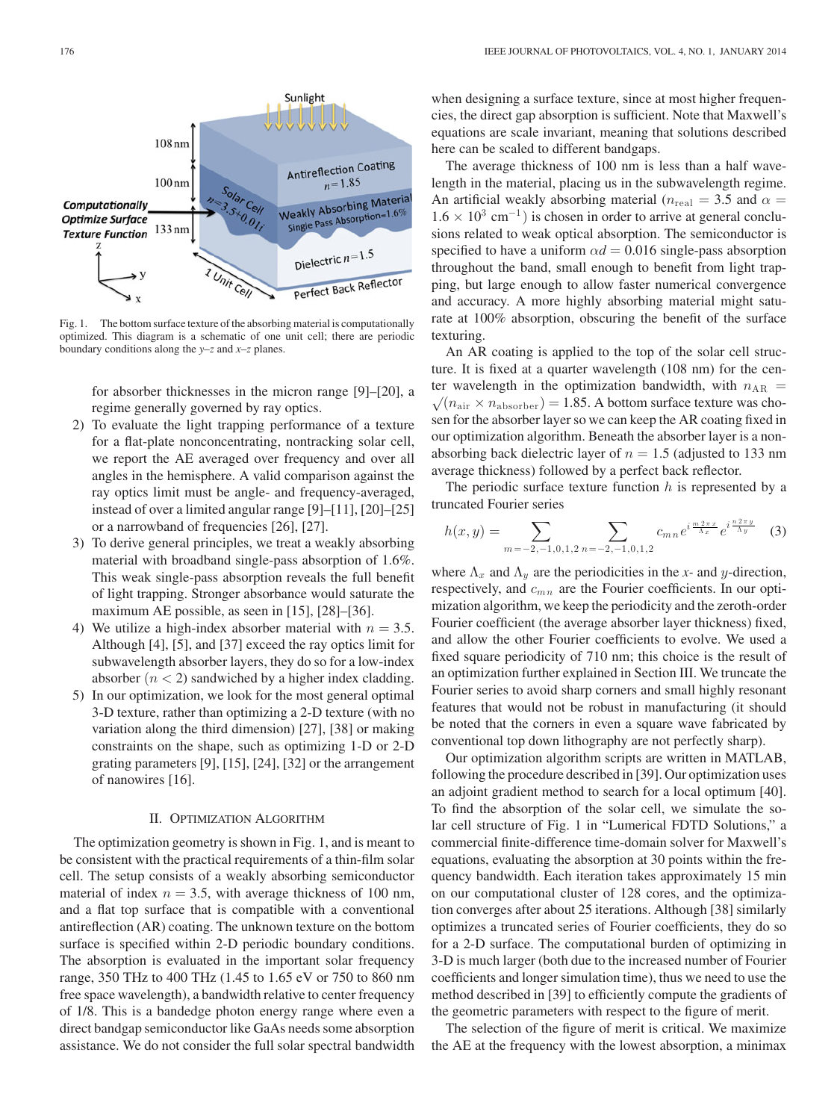

Fig. 1. The bottom surface texture of the absorbing material is computationally optimized. This diagram is a schematic of one unit cell; there are periodic boundary conditions along the *y–z* and *x–z* planes.

for absorber thicknesses in the micron range [9]–[20], a regime generally governed by ray optics.

- 2) To evaluate the light trapping performance of a texture for a flat-plate nonconcentrating, nontracking solar cell, we report the AE averaged over frequency and over all angles in the hemisphere. A valid comparison against the ray optics limit must be angle- and frequency-averaged, instead of over a limited angular range [9]–[11], [20]–[25] or a narrowband of frequencies [26], [27].
- 3) To derive general principles, we treat a weakly absorbing material with broadband single-pass absorption of 1.6%. This weak single-pass absorption reveals the full benefit of light trapping. Stronger absorbance would saturate the maximum AE possible, as seen in [15], [28]–[36].
- 4) We utilize a high-index absorber material with  $n = 3.5$ . Although [4], [5], and [37] exceed the ray optics limit for subwavelength absorber layers, they do so for a low-index absorber  $(n < 2)$  sandwiched by a higher index cladding.
- 5) In our optimization, we look for the most general optimal 3-D texture, rather than optimizing a 2-D texture (with no variation along the third dimension) [27], [38] or making constraints on the shape, such as optimizing 1-D or 2-D grating parameters [9], [15], [24], [32] or the arrangement of nanowires [16].

## II. OPTIMIZATION ALGORITHM

The optimization geometry is shown in Fig. 1, and is meant to be consistent with the practical requirements of a thin-film solar cell. The setup consists of a weakly absorbing semiconductor material of index  $n = 3.5$ , with average thickness of 100 nm, and a flat top surface that is compatible with a conventional antireflection (AR) coating. The unknown texture on the bottom surface is specified within 2-D periodic boundary conditions. The absorption is evaluated in the important solar frequency range, 350 THz to 400 THz (1.45 to 1.65 eV or 750 to 860 nm free space wavelength), a bandwidth relative to center frequency of 1/8. This is a bandedge photon energy range where even a direct bandgap semiconductor like GaAs needs some absorption assistance. We do not consider the full solar spectral bandwidth when designing a surface texture, since at most higher frequencies, the direct gap absorption is sufficient. Note that Maxwell's equations are scale invariant, meaning that solutions described here can be scaled to different bandgaps.

The average thickness of 100 nm is less than a half wavelength in the material, placing us in the subwavelength regime. An artificial weakly absorbing material ( $n_{\text{real}} = 3.5$  and  $\alpha =$  $1.6 \times 10^3$  cm<sup>-1</sup>) is chosen in order to arrive at general conclusions related to weak optical absorption. The semiconductor is specified to have a uniform  $\alpha d = 0.016$  single-pass absorption throughout the band, small enough to benefit from light trapping, but large enough to allow faster numerical convergence and accuracy. A more highly absorbing material might saturate at 100% absorption, obscuring the benefit of the surface texturing.

An AR coating is applied to the top of the solar cell structure. It is fixed at a quarter wavelength (108 nm) for the center wavelength in the optimization bandwidth, with  $n_{AR} = \sqrt{(n_{\text{air}} \times n_{\text{absorber}})} = 1.85$ . A bottom surface texture was chosen for the absorber layer so we can keep the AR coating fixed in our optimization algorithm. Beneath the absorber layer is a nonabsorbing back dielectric layer of  $n = 1.5$  (adjusted to 133 nm) average thickness) followed by a perfect back reflector.

The periodic surface texture function  $h$  is represented by a truncated Fourier series

$$
h(x,y) = \sum_{m=-2,-1,0,1,2} \sum_{n=-2,-1,0,1,2} c_{mn} e^{i \frac{m \cdot 2 \pi x}{\Lambda_x}} e^{i \frac{n \cdot 2 \pi y}{\Lambda_y}}
$$
 (3)

where  $\Lambda_x$  and  $\Lambda_y$  are the periodicities in the *x*- and *y*-direction, respectively, and  $c_{mn}$  are the Fourier coefficients. In our optimization algorithm, we keep the periodicity and the zeroth-order Fourier coefficient (the average absorber layer thickness) fixed, and allow the other Fourier coefficients to evolve. We used a fixed square periodicity of 710 nm; this choice is the result of an optimization further explained in Section III. We truncate the Fourier series to avoid sharp corners and small highly resonant features that would not be robust in manufacturing (it should be noted that the corners in even a square wave fabricated by conventional top down lithography are not perfectly sharp).

Our optimization algorithm scripts are written in MATLAB, following the procedure described in [39]. Our optimization uses an adjoint gradient method to search for a local optimum [40]. To find the absorption of the solar cell, we simulate the solar cell structure of Fig. 1 in "Lumerical FDTD Solutions," a commercial finite-difference time-domain solver for Maxwell's equations, evaluating the absorption at 30 points within the frequency bandwidth. Each iteration takes approximately 15 min on our computational cluster of 128 cores, and the optimization converges after about 25 iterations. Although [38] similarly optimizes a truncated series of Fourier coefficients, they do so for a 2-D surface. The computational burden of optimizing in 3-D is much larger (both due to the increased number of Fourier coefficients and longer simulation time), thus we need to use the method described in [39] to efficiently compute the gradients of the geometric parameters with respect to the figure of merit.

The selection of the figure of merit is critical. We maximize the AE at the frequency with the lowest absorption, a minimax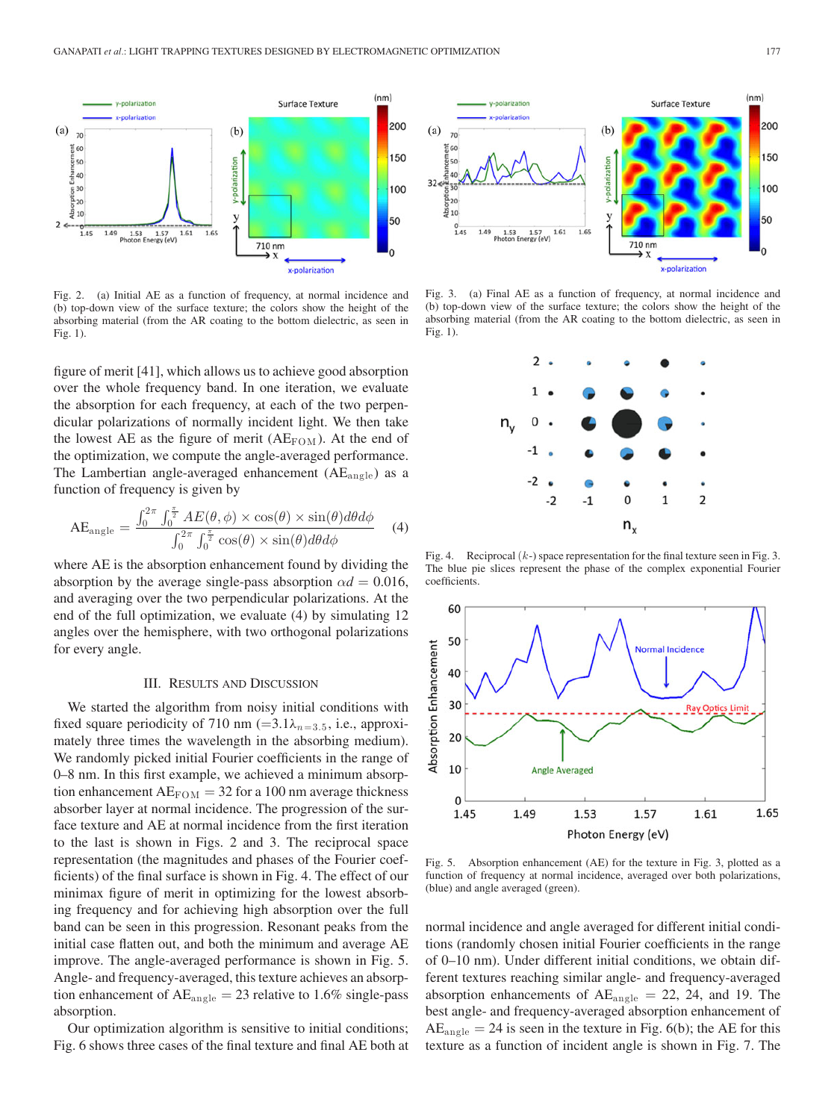

Fig. 2. (a) Initial AE as a function of frequency, at normal incidence and (b) top-down view of the surface texture; the colors show the height of the absorbing material (from the AR coating to the bottom dielectric, as seen in Fig. 1).

figure of merit [41], which allows us to achieve good absorption over the whole frequency band. In one iteration, we evaluate the absorption for each frequency, at each of the two perpendicular polarizations of normally incident light. We then take the lowest AE as the figure of merit  $(AE_{FOM})$ . At the end of the optimization, we compute the angle-averaged performance. The Lambertian angle-averaged enhancement  $(AE_{angle})$  as a function of frequency is given by

$$
AE_{\text{angle}} = \frac{\int_0^{2\pi} \int_0^{\frac{\pi}{2}} AE(\theta, \phi) \times \cos(\theta) \times \sin(\theta) d\theta d\phi}{\int_0^{2\pi} \int_0^{\frac{\pi}{2}} \cos(\theta) \times \sin(\theta) d\theta d\phi}
$$
(4)

where AE is the absorption enhancement found by dividing the absorption by the average single-pass absorption  $\alpha d = 0.016$ , and averaging over the two perpendicular polarizations. At the end of the full optimization, we evaluate (4) by simulating 12 angles over the hemisphere, with two orthogonal polarizations for every angle.

### III. RESULTS AND DISCUSSION

We started the algorithm from noisy initial conditions with fixed square periodicity of 710 nm (=3.1 $\lambda_{n=3.5}$ , i.e., approximately three times the wavelength in the absorbing medium). We randomly picked initial Fourier coefficients in the range of 0–8 nm. In this first example, we achieved a minimum absorption enhancement  $AE_{FOM} = 32$  for a 100 nm average thickness absorber layer at normal incidence. The progression of the surface texture and AE at normal incidence from the first iteration to the last is shown in Figs. 2 and 3. The reciprocal space representation (the magnitudes and phases of the Fourier coefficients) of the final surface is shown in Fig. 4. The effect of our minimax figure of merit in optimizing for the lowest absorbing frequency and for achieving high absorption over the full band can be seen in this progression. Resonant peaks from the initial case flatten out, and both the minimum and average AE improve. The angle-averaged performance is shown in Fig. 5. Angle- and frequency-averaged, this texture achieves an absorption enhancement of  $AE_{angle} = 23$  relative to 1.6% single-pass absorption.

Our optimization algorithm is sensitive to initial conditions; Fig. 6 shows three cases of the final texture and final AE both at



Fig. 3. (a) Final AE as a function of frequency, at normal incidence and (b) top-down view of the surface texture; the colors show the height of the absorbing material (from the AR coating to the bottom dielectric, as seen in Fig. 1).



Fig. 4. Reciprocal  $(k-)$  space representation for the final texture seen in Fig. 3. The blue pie slices represent the phase of the complex exponential Fourier coefficients.



Fig. 5. Absorption enhancement (AE) for the texture in Fig. 3, plotted as a function of frequency at normal incidence, averaged over both polarizations, (blue) and angle averaged (green).

normal incidence and angle averaged for different initial conditions (randomly chosen initial Fourier coefficients in the range of 0–10 nm). Under different initial conditions, we obtain different textures reaching similar angle- and frequency-averaged absorption enhancements of  $AE_{angle} = 22$ , 24, and 19. The best angle- and frequency-averaged absorption enhancement of  $AE<sub>angle</sub> = 24$  is seen in the texture in Fig. 6(b); the AE for this texture as a function of incident angle is shown in Fig. 7. The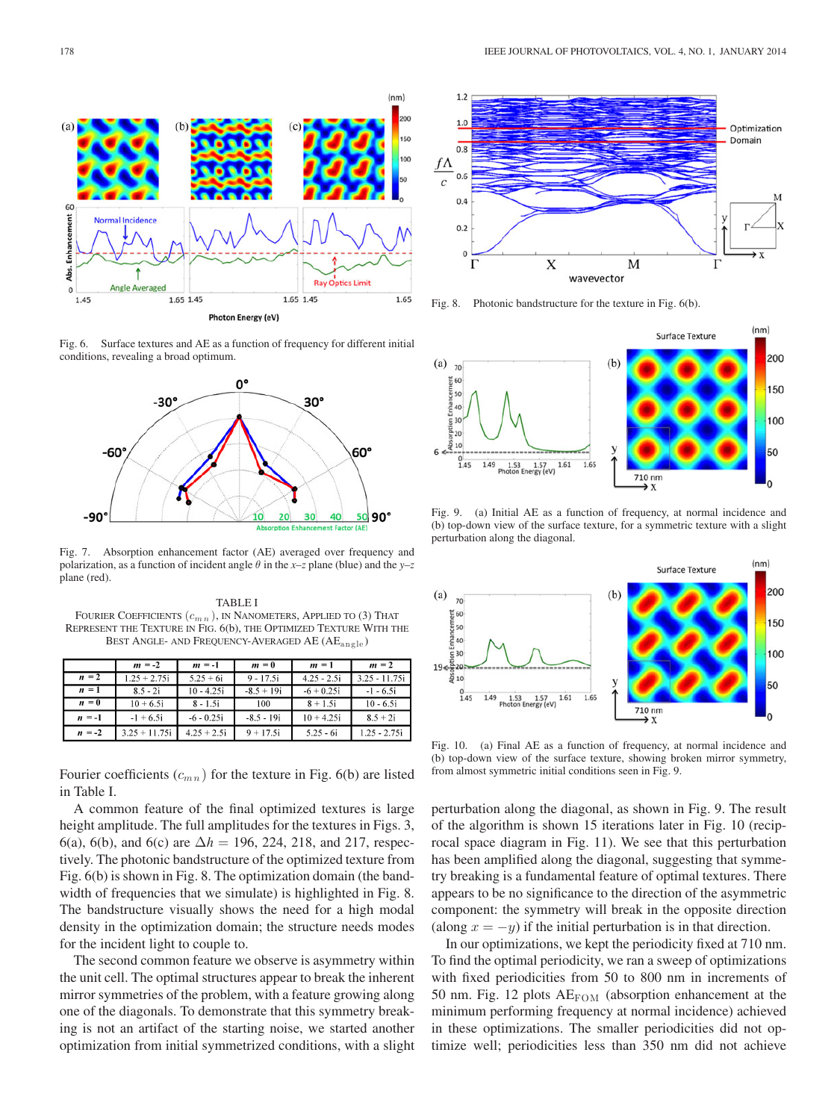

Fig. 6. Surface textures and AE as a function of frequency for different initial conditions, revealing a broad optimum.



Fig. 7. Absorption enhancement factor (AE) averaged over frequency and polarization, as a function of incident angle θ in the *x–z* plane (blue) and the *y–z* plane (red).

TABLE I FOURIER COEFFICIENTS  $(c_{m n})$ , IN NANOMETERS, APPLIED TO (3) THAT REPRESENT THE TEXTURE IN FIG. 6(b), THE OPTIMIZED TEXTURE WITH THE BEST ANGLE- AND FREQUENCY-AVERAGED AE (AE<sub>angle</sub>)

|          | $m = -2$        | $m = -1$      | $m=0$        | $m = 1$       | $m = 2$         |
|----------|-----------------|---------------|--------------|---------------|-----------------|
| $n = 2$  | $1.25 + 2.75i$  | $5.25 + 6i$   | $9 - 17.5i$  | $4.25 - 2.5i$ | $3.25 - 11.75i$ |
| $n = 1$  | $8.5 - 2i$      | $10 - 4.25i$  | $-8.5 + 19i$ | $-6 + 0.25i$  | $-1 - 6.5i$     |
| $n = 0$  | $10 + 6.5i$     | $8 - 1.5i$    | 100          | $8 + 1.5i$    | $10 - 6.5i$     |
| $n = -1$ | $-1 + 6.5i$     | $-6 - 0.25i$  | $-8.5 - 19i$ | $10 + 4.25i$  | $8.5 + 2i$      |
| $n = -2$ | $3.25 + 11.75i$ | $4.25 + 2.5i$ | $9 + 17.5i$  | $5.25 - 6i$   | 1.25 - 2.75i    |

Fourier coefficients  $(c_{mn})$  for the texture in Fig. 6(b) are listed in Table I.

A common feature of the final optimized textures is large height amplitude. The full amplitudes for the textures in Figs. 3, 6(a), 6(b), and 6(c) are  $\Delta h = 196, 224, 218,$  and 217, respectively. The photonic bandstructure of the optimized texture from Fig. 6(b) is shown in Fig. 8. The optimization domain (the bandwidth of frequencies that we simulate) is highlighted in Fig. 8. The bandstructure visually shows the need for a high modal density in the optimization domain; the structure needs modes for the incident light to couple to.

The second common feature we observe is asymmetry within the unit cell. The optimal structures appear to break the inherent mirror symmetries of the problem, with a feature growing along one of the diagonals. To demonstrate that this symmetry breaking is not an artifact of the starting noise, we started another optimization from initial symmetrized conditions, with a slight



Fig. 8. Photonic bandstructure for the texture in Fig. 6(b).



Fig. 9. (a) Initial AE as a function of frequency, at normal incidence and (b) top-down view of the surface texture, for a symmetric texture with a slight perturbation along the diagonal.



Fig. 10. (a) Final AE as a function of frequency, at normal incidence and (b) top-down view of the surface texture, showing broken mirror symmetry, from almost symmetric initial conditions seen in Fig. 9.

perturbation along the diagonal, as shown in Fig. 9. The result of the algorithm is shown 15 iterations later in Fig. 10 (reciprocal space diagram in Fig. 11). We see that this perturbation has been amplified along the diagonal, suggesting that symmetry breaking is a fundamental feature of optimal textures. There appears to be no significance to the direction of the asymmetric component: the symmetry will break in the opposite direction (along  $x = -y$ ) if the initial perturbation is in that direction.

In our optimizations, we kept the periodicity fixed at 710 nm. To find the optimal periodicity, we ran a sweep of optimizations with fixed periodicities from 50 to 800 nm in increments of 50 nm. Fig. 12 plots  $AE_{FOM}$  (absorption enhancement at the minimum performing frequency at normal incidence) achieved in these optimizations. The smaller periodicities did not optimize well; periodicities less than 350 nm did not achieve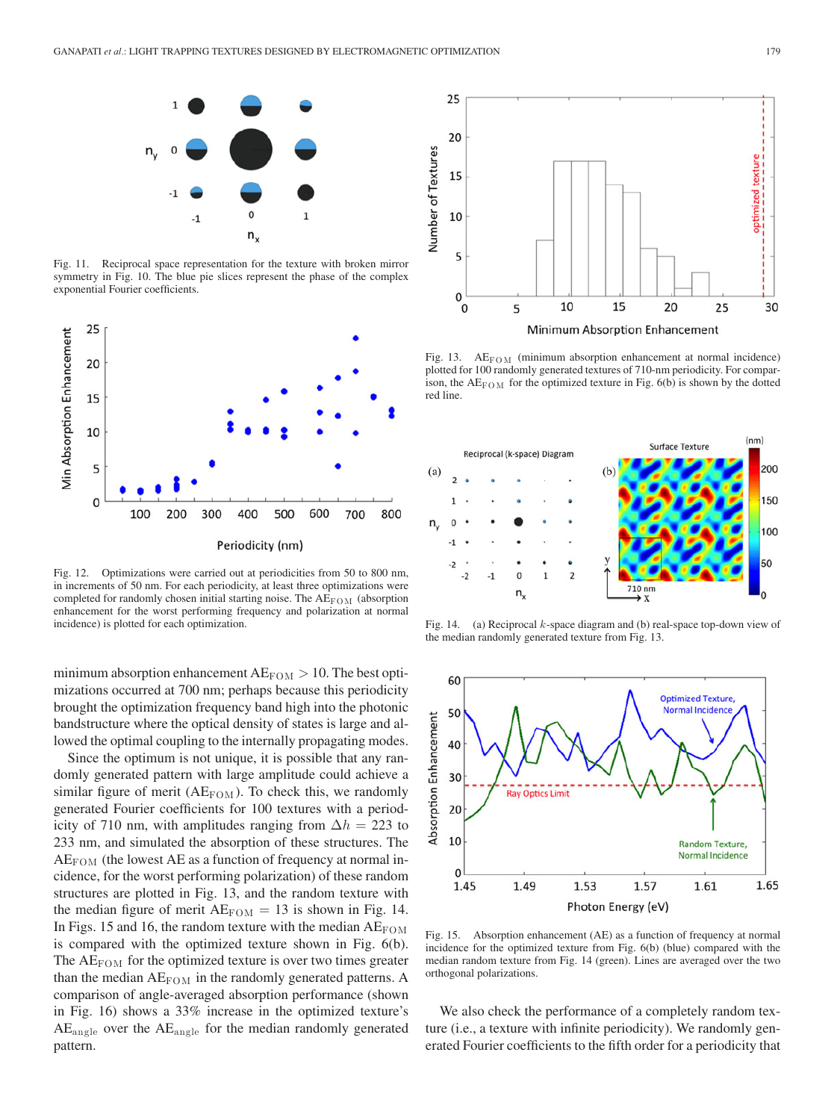

Fig. 11. Reciprocal space representation for the texture with broken mirror symmetry in Fig. 10. The blue pie slices represent the phase of the complex exponential Fourier coefficients.



Fig. 12. Optimizations were carried out at periodicities from 50 to 800 nm, in increments of 50 nm. For each periodicity, at least three optimizations were completed for randomly chosen initial starting noise. The  $AE_{FOM}$  (absorption enhancement for the worst performing frequency and polarization at normal incidence) is plotted for each optimization.

minimum absorption enhancement  $AE_{FOM} > 10$ . The best optimizations occurred at 700 nm; perhaps because this periodicity brought the optimization frequency band high into the photonic bandstructure where the optical density of states is large and allowed the optimal coupling to the internally propagating modes.

Since the optimum is not unique, it is possible that any randomly generated pattern with large amplitude could achieve a similar figure of merit ( $AE_{FOM}$ ). To check this, we randomly generated Fourier coefficients for 100 textures with a periodicity of 710 nm, with amplitudes ranging from  $\Delta h = 223$  to 233 nm, and simulated the absorption of these structures. The  $AE_{FOM}$  (the lowest AE as a function of frequency at normal incidence, for the worst performing polarization) of these random structures are plotted in Fig. 13, and the random texture with the median figure of merit  $AE_{FOM} = 13$  is shown in Fig. 14. In Figs. 15 and 16, the random texture with the median  $AE_{FOM}$ is compared with the optimized texture shown in Fig. 6(b). The  $AE_{FOM}$  for the optimized texture is over two times greater than the median  $AE_{FOM}$  in the randomly generated patterns. A comparison of angle-averaged absorption performance (shown in Fig. 16) shows a 33% increase in the optimized texture's  $AE<sub>angle</sub>$  over the  $AE<sub>angle</sub>$  for the median randomly generated pattern.



Fig. 13.  $AE_{FOM}$  (minimum absorption enhancement at normal incidence) plotted for 100 randomly generated textures of 710-nm periodicity. For comparison, the  $AE_{\text{FOM}}$  for the optimized texture in Fig. 6(b) is shown by the dotted red line.



Fig. 14. (a) Reciprocal  $k$ -space diagram and (b) real-space top-down view of the median randomly generated texture from Fig. 13.



Fig. 15. Absorption enhancement (AE) as a function of frequency at normal incidence for the optimized texture from Fig. 6(b) (blue) compared with the median random texture from Fig. 14 (green). Lines are averaged over the two orthogonal polarizations.

We also check the performance of a completely random texture (i.e., a texture with infinite periodicity). We randomly generated Fourier coefficients to the fifth order for a periodicity that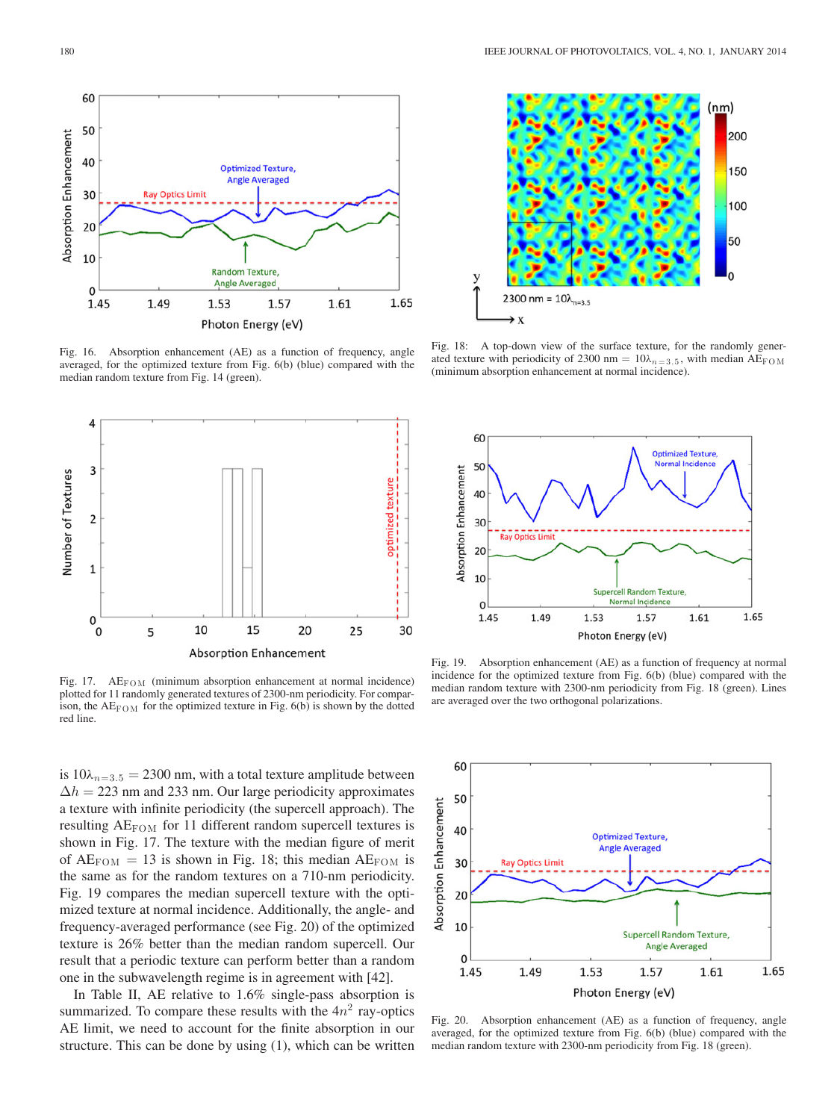

Fig. 16. Absorption enhancement (AE) as a function of frequency, angle averaged, for the optimized texture from Fig. 6(b) (blue) compared with the median random texture from Fig. 14 (green).



Fig. 17.  $AE_{FOM}$  (minimum absorption enhancement at normal incidence) plotted for 11 randomly generated textures of 2300-nm periodicity. For comparison, the  $AE_{FOM}$  for the optimized texture in Fig. 6(b) is shown by the dotted red line.

is  $10\lambda_{n=3.5} = 2300$  nm, with a total texture amplitude between  $\Delta h = 223$  nm and 233 nm. Our large periodicity approximates a texture with infinite periodicity (the supercell approach). The resulting  $AE_{FOM}$  for 11 different random supercell textures is shown in Fig. 17. The texture with the median figure of merit of  $AE_{FOM} = 13$  is shown in Fig. 18; this median  $AE_{FOM}$  is the same as for the random textures on a 710-nm periodicity. Fig. 19 compares the median supercell texture with the optimized texture at normal incidence. Additionally, the angle- and frequency-averaged performance (see Fig. 20) of the optimized texture is 26% better than the median random supercell. Our result that a periodic texture can perform better than a random one in the subwavelength regime is in agreement with [42].

In Table II, AE relative to 1.6% single-pass absorption is summarized. To compare these results with the  $4n<sup>2</sup>$  ray-optics AE limit, we need to account for the finite absorption in our structure. This can be done by using (1), which can be written



Fig. 18: A top-down view of the surface texture, for the randomly generated texture with periodicity of 2300 nm =  $10\lambda_{n=3.5}$ , with median AE<sub>FOM</sub> (minimum absorption enhancement at normal incidence).



Fig. 19. Absorption enhancement (AE) as a function of frequency at normal incidence for the optimized texture from Fig. 6(b) (blue) compared with the median random texture with 2300-nm periodicity from Fig. 18 (green). Lines are averaged over the two orthogonal polarizations.



Fig. 20. Absorption enhancement (AE) as a function of frequency, angle averaged, for the optimized texture from Fig. 6(b) (blue) compared with the median random texture with 2300-nm periodicity from Fig. 18 (green).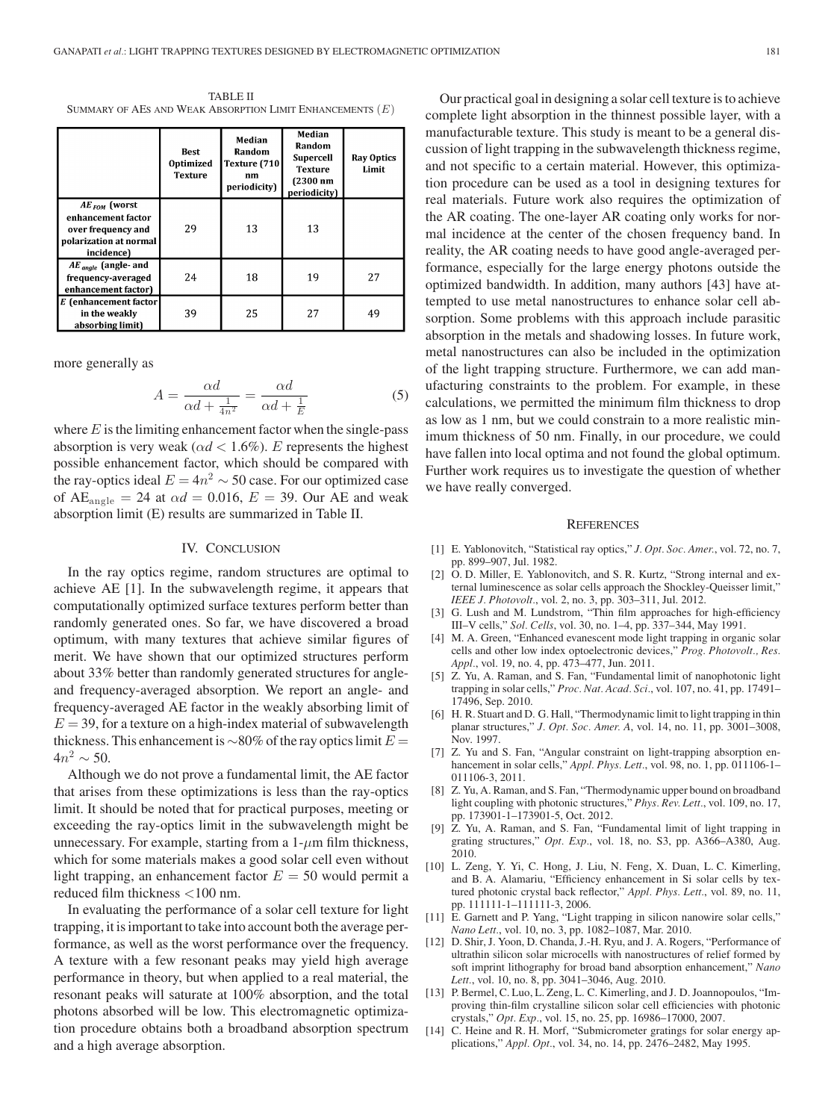TABLE II SUMMARY OF AES AND WEAK ABSORPTION LIMIT ENHANCEMENTS  $(E)$ 

|                                                                                                       | Best<br>Optimized<br><b>Texture</b> | Median<br>Random<br>Texture (710<br>nm<br>periodicity) | Median<br>Random<br><b>Supercell</b><br><b>Texture</b><br>$(2300$ nm<br>periodicity) | <b>Ray Optics</b><br>Limit |
|-------------------------------------------------------------------------------------------------------|-------------------------------------|--------------------------------------------------------|--------------------------------------------------------------------------------------|----------------------------|
| $AE_{FOM}$ (worst<br>enhancement factor<br>over frequency and<br>polarization at normal<br>incidence) | 29                                  | 13                                                     | 13                                                                                   |                            |
| $AE$ <sub>angle</sub> (angle- and<br>frequency-averaged<br>enhancement factor)                        | 24                                  | 18                                                     | 19                                                                                   | 27                         |
| E (enhancement factor<br>in the weakly<br>absorbing limit)                                            | 39                                  | 25                                                     | 27                                                                                   | 49                         |

more generally as

$$
A = \frac{\alpha d}{\alpha d + \frac{1}{4n^2}} = \frac{\alpha d}{\alpha d + \frac{1}{E}}\tag{5}
$$

where  $E$  is the limiting enhancement factor when the single-pass absorption is very weak ( $\alpha d < 1.6\%$ ). E represents the highest possible enhancement factor, which should be compared with the ray-optics ideal  $E = 4n^2 \sim 50$  case. For our optimized case of  $AE_{angle} = 24$  at  $\alpha d = 0.016$ ,  $E = 39$ . Our AE and weak absorption limit (E) results are summarized in Table II.

#### IV. CONCLUSION

In the ray optics regime, random structures are optimal to achieve AE [1]. In the subwavelength regime, it appears that computationally optimized surface textures perform better than randomly generated ones. So far, we have discovered a broad optimum, with many textures that achieve similar figures of merit. We have shown that our optimized structures perform about 33% better than randomly generated structures for angleand frequency-averaged absorption. We report an angle- and frequency-averaged AE factor in the weakly absorbing limit of  $E = 39$ , for a texture on a high-index material of subwavelength thickness. This enhancement is  $\sim$ 80% of the ray optics limit  $E =$  $4n^2 \sim 50$ .

Although we do not prove a fundamental limit, the AE factor that arises from these optimizations is less than the ray-optics limit. It should be noted that for practical purposes, meeting or exceeding the ray-optics limit in the subwavelength might be unnecessary. For example, starting from a  $1-\mu m$  film thickness, which for some materials makes a good solar cell even without light trapping, an enhancement factor  $E = 50$  would permit a reduced film thickness <100 nm.

In evaluating the performance of a solar cell texture for light trapping, it is important to take into account both the average performance, as well as the worst performance over the frequency. A texture with a few resonant peaks may yield high average performance in theory, but when applied to a real material, the resonant peaks will saturate at 100% absorption, and the total photons absorbed will be low. This electromagnetic optimization procedure obtains both a broadband absorption spectrum and a high average absorption.

Our practical goal in designing a solar cell texture is to achieve complete light absorption in the thinnest possible layer, with a manufacturable texture. This study is meant to be a general discussion of light trapping in the subwavelength thickness regime, and not specific to a certain material. However, this optimization procedure can be used as a tool in designing textures for real materials. Future work also requires the optimization of the AR coating. The one-layer AR coating only works for normal incidence at the center of the chosen frequency band. In reality, the AR coating needs to have good angle-averaged performance, especially for the large energy photons outside the optimized bandwidth. In addition, many authors [43] have attempted to use metal nanostructures to enhance solar cell absorption. Some problems with this approach include parasitic absorption in the metals and shadowing losses. In future work, metal nanostructures can also be included in the optimization of the light trapping structure. Furthermore, we can add manufacturing constraints to the problem. For example, in these calculations, we permitted the minimum film thickness to drop as low as 1 nm, but we could constrain to a more realistic minimum thickness of 50 nm. Finally, in our procedure, we could have fallen into local optima and not found the global optimum. Further work requires us to investigate the question of whether we have really converged.

#### **REFERENCES**

- [1] E. Yablonovitch, "Statistical ray optics," *J. Opt. Soc. Amer.*, vol. 72, no. 7, pp. 899–907, Jul. 1982.
- [2] O. D. Miller, E. Yablonovitch, and S. R. Kurtz, "Strong internal and external luminescence as solar cells approach the Shockley-Queisser limit," *IEEE J. Photovolt.*, vol. 2, no. 3, pp. 303–311, Jul. 2012.
- [3] G. Lush and M. Lundstrom, "Thin film approaches for high-efficiency III–V cells," *Sol. Cells*, vol. 30, no. 1–4, pp. 337–344, May 1991.
- [4] M. A. Green, "Enhanced evanescent mode light trapping in organic solar cells and other low index optoelectronic devices," *Prog. Photovolt., Res. Appl.*, vol. 19, no. 4, pp. 473–477, Jun. 2011.
- [5] Z. Yu, A. Raman, and S. Fan, "Fundamental limit of nanophotonic light trapping in solar cells," *Proc. Nat. Acad. Sci.*, vol. 107, no. 41, pp. 17491– 17496, Sep. 2010.
- [6] H. R. Stuart and D. G. Hall, "Thermodynamic limit to light trapping in thin planar structures," *J. Opt. Soc. Amer. A*, vol. 14, no. 11, pp. 3001–3008, Nov. 1997.
- [7] Z. Yu and S. Fan, "Angular constraint on light-trapping absorption enhancement in solar cells," *Appl. Phys. Lett.*, vol. 98, no. 1, pp. 011106-1– 011106-3, 2011.
- [8] Z. Yu, A. Raman, and S. Fan, "Thermodynamic upper bound on broadband light coupling with photonic structures," *Phys. Rev. Lett.*, vol. 109, no. 17, pp. 173901-1–173901-5, Oct. 2012.
- [9] Z. Yu, A. Raman, and S. Fan, "Fundamental limit of light trapping in grating structures," *Opt. Exp.*, vol. 18, no. S3, pp. A366–A380, Aug. 2010.
- [10] L. Zeng, Y. Yi, C. Hong, J. Liu, N. Feng, X. Duan, L. C. Kimerling, and B. A. Alamariu, "Efficiency enhancement in Si solar cells by textured photonic crystal back reflector," *Appl. Phys. Lett.*, vol. 89, no. 11, pp. 111111-1–111111-3, 2006.
- [11] E. Garnett and P. Yang, "Light trapping in silicon nanowire solar cells," *Nano Lett.*, vol. 10, no. 3, pp. 1082–1087, Mar. 2010.
- [12] D. Shir, J. Yoon, D. Chanda, J.-H. Ryu, and J. A. Rogers, "Performance of ultrathin silicon solar microcells with nanostructures of relief formed by soft imprint lithography for broad band absorption enhancement," *Nano Lett.*, vol. 10, no. 8, pp. 3041–3046, Aug. 2010.
- [13] P. Bermel, C. Luo, L. Zeng, L. C. Kimerling, and J. D. Joannopoulos, "Improving thin-film crystalline silicon solar cell efficiencies with photonic crystals," *Opt. Exp.*, vol. 15, no. 25, pp. 16986–17000, 2007.
- [14] C. Heine and R. H. Morf, "Submicrometer gratings for solar energy applications," *Appl. Opt.*, vol. 34, no. 14, pp. 2476–2482, May 1995.